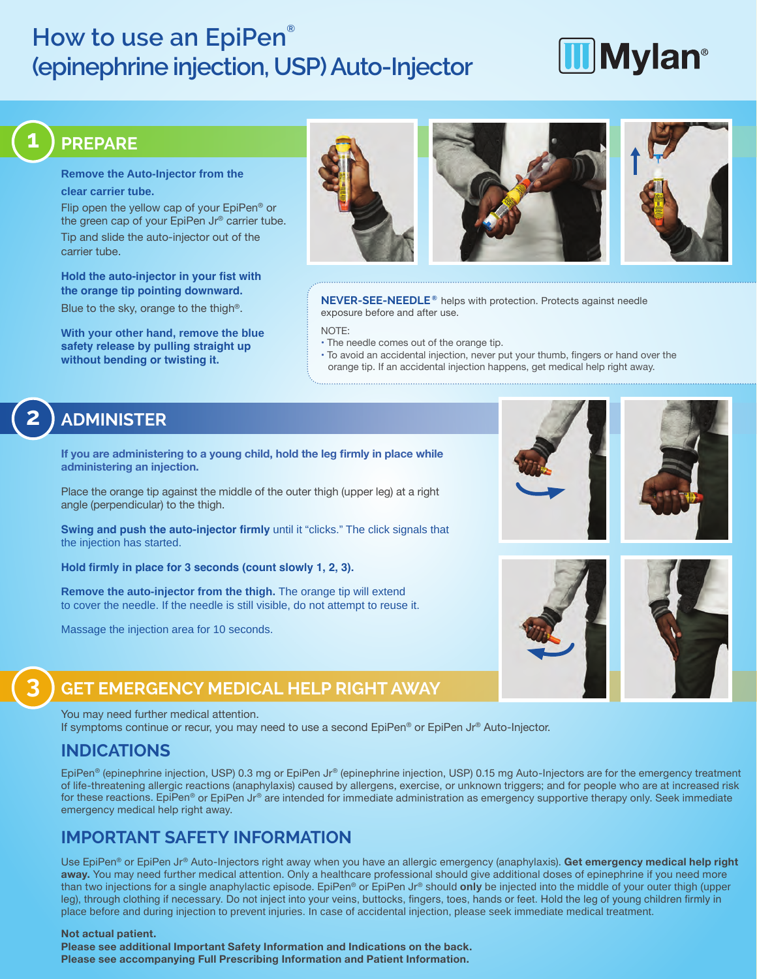# **How to use an EpiPen® (epinephrine injection, USP) Auto-Injector**

# **II**Mylan<sup>®</sup>

#### **Remove the Auto-Injector from the clear carrier tube.**

Flip open the yellow cap of your EpiPen® or the green cap of your EpiPen Jr® carrier tube. Tip and slide the auto-injector out of the carrier tube.

**Hold the auto-injector in your fist with the orange tip pointing downward.**

Blue to the sky, orange to the thigh®.

**With your other hand, remove the blue safety release by pulling straight up without bending or twisting it.**





**NEVER-SEE-NEEDLE ®** helps with protection. Protects against needle exposure before and after use.

NOTE:

- The needle comes out of the orange tip.
- To avoid an accidental injection, never put your thumb, fingers or hand over the orange tip. If an accidental injection happens, get medical help right away.

# **2 ADMINISTER**

**1 PREPARE**

**If you are administering to a young child, hold the leg firmly in place while administering an injection.**

Place the orange tip against the middle of the outer thigh (upper leg) at a right angle (perpendicular) to the thigh.

**Swing and push the auto-injector firmly** until it "clicks." The click signals that the injection has started.

**Hold firmly in place for 3 seconds (count slowly 1, 2, 3).** 

**Remove the auto-injector from the thigh.** The orange tip will extend to cover the needle. If the needle is still visible, do not attempt to reuse it.

Massage the injection area for 10 seconds.







# **3 GET EMERGENCY MEDICAL HELP RIGHT AWAY**

#### You may need further medical attention.

If symptoms continue or recur, you may need to use a second EpiPen® or EpiPen Jr® Auto-Injector.

### **INDICATIONS**

EpiPen® (epinephrine injection, USP) 0.3 mg or EpiPen Jr® (epinephrine injection, USP) 0.15 mg Auto-Injectors are for the emergency treatment of life-threatening allergic reactions (anaphylaxis) caused by allergens, exercise, or unknown triggers; and for people who are at increased risk for these reactions. EpiPen® or EpiPen Jr® are intended for immediate administration as emergency supportive therapy only. Seek immediate emergency medical help right away.

## **IMPORTANT SAFETY INFORMATION**

Use EpiPen® or EpiPen Jr® Auto-Injectors right away when you have an allergic emergency (anaphylaxis). **Get emergency medical help right away.** You may need further medical attention. Only a healthcare professional should give additional doses of epinephrine if you need more than two injections for a single anaphylactic episode. EpiPen® or EpiPen Jr® should **only** be injected into the middle of your outer thigh (upper leg), through clothing if necessary. Do not inject into your veins, buttocks, fingers, toes, hands or feet. Hold the leg of young children firmly in place before and during injection to prevent injuries. In case of accidental injection, please seek immediate medical treatment.

#### **Not actual patient.**

**Please see additional Important Safety Information and Indications on the back. Please see accompanying Full Prescribing Information and Patient Information.**